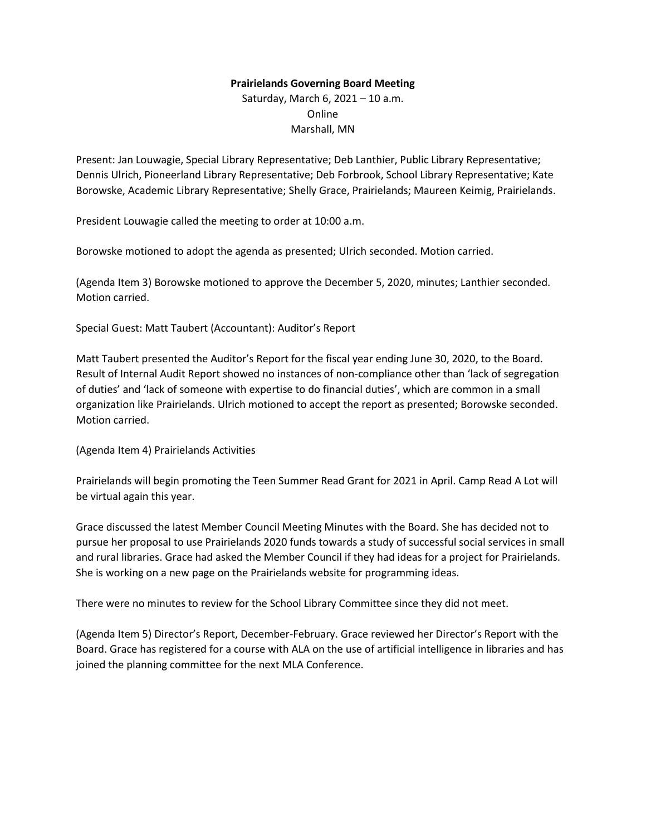## **Prairielands Governing Board Meeting**

Saturday, March 6, 2021 – 10 a.m. Online Marshall, MN

Present: Jan Louwagie, Special Library Representative; Deb Lanthier, Public Library Representative; Dennis Ulrich, Pioneerland Library Representative; Deb Forbrook, School Library Representative; Kate Borowske, Academic Library Representative; Shelly Grace, Prairielands; Maureen Keimig, Prairielands.

President Louwagie called the meeting to order at 10:00 a.m.

Borowske motioned to adopt the agenda as presented; Ulrich seconded. Motion carried.

(Agenda Item 3) Borowske motioned to approve the December 5, 2020, minutes; Lanthier seconded. Motion carried.

Special Guest: Matt Taubert (Accountant): Auditor's Report

Matt Taubert presented the Auditor's Report for the fiscal year ending June 30, 2020, to the Board. Result of Internal Audit Report showed no instances of non-compliance other than 'lack of segregation of duties' and 'lack of someone with expertise to do financial duties', which are common in a small organization like Prairielands. Ulrich motioned to accept the report as presented; Borowske seconded. Motion carried.

(Agenda Item 4) Prairielands Activities

Prairielands will begin promoting the Teen Summer Read Grant for 2021 in April. Camp Read A Lot will be virtual again this year.

Grace discussed the latest Member Council Meeting Minutes with the Board. She has decided not to pursue her proposal to use Prairielands 2020 funds towards a study of successful social services in small and rural libraries. Grace had asked the Member Council if they had ideas for a project for Prairielands. She is working on a new page on the Prairielands website for programming ideas.

There were no minutes to review for the School Library Committee since they did not meet.

(Agenda Item 5) Director's Report, December-February. Grace reviewed her Director's Report with the Board. Grace has registered for a course with ALA on the use of artificial intelligence in libraries and has joined the planning committee for the next MLA Conference.